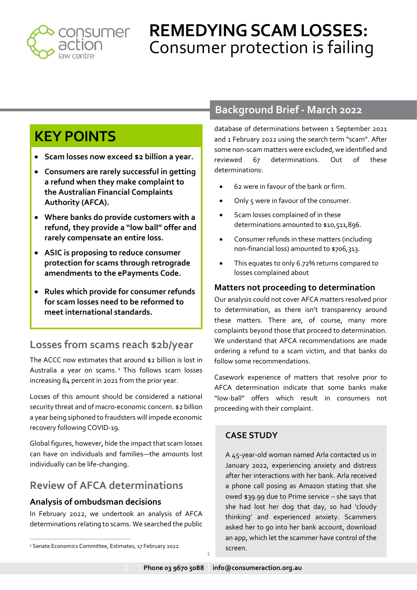

# **REMEDYING SCAM LOSSES:** Consumer protection is failing

# **KEY POINTS**

- **Scam losses now exceed \$2 billion a year.**
- **Consumers are rarely successful in getting a refund when they make complaint to the Australian Financial Complaints Authority (AFCA).**
- **Where banks do provide customers with a refund, they provide a "low ball" offer and rarely compensate an entire loss.**
- **ASIC is proposing to reduce consumer protection for scams through retrograde amendments to the ePayments Code.**
- **Rules which provide for consumer refunds for scam losses need to be reformed to meet international standards.**

### **Losses from scams reach \$2b/year**

The ACCC now estimates that around \$2 billion is lost in Australia a year on scams.<sup>1</sup> This follows scam losses increasing 84 percent in 2021 from the prior year.

Losses of this amount should be considered a national security threat and of macro-economic concern. \$2 billion a year being siphoned to fraudsters will impede economic recovery following COVID-19.

Global figures, however, hide the impact that scam losses can have on individuals and families—the amounts lost individually can be life-changing.

## **Review of AFCA determinations**

### **Analysis of ombudsman decisions**

In February 2022, we undertook an analysis of AFCA determinations relating to scams. We searched the public

database of determinations between 1 September 2021 and 1 February 2022 using the search term "scam". After some non-scam matters were excluded, we identified and reviewed 67 determinations. Out of these determinations:

- 62 were in favour of the bank or firm.
- Only 5 were in favour of the consumer.
- Scam losses complained of in these determinations amounted to \$10,511,896.
- Consumer refunds in these matters (including non-financial loss) amounted to \$706,313.
- This equates to only 6.72% returns compared to losses complained about

### **Matters not proceeding to determination**

Our analysis could not cover AFCA matters resolved prior to determination, as there isn't transparency around these matters. There are, of course, many more complaints beyond those that proceed to determination. We understand that AFCA recommendations are made ordering a refund to a scam victim, and that banks do follow some recommendations.

Casework experience of matters that resolve prior to AFCA determination indicate that some banks make "low-ball" offers which result in consumers not proceeding with their complaint.

### **CASE STUDY**

A 45-year-old woman named Arla contacted us in January 2022, experiencing anxiety and distress after her interactions with her bank. Arla received a phone call posing as Amazon stating that she owed \$39.99 due to Prime service – she says that she had lost her dog that day, so had 'cloudy thinking' and experienced anxiety. Scammers asked her to go into her bank account, download an app, which let the scammer have control of the screen.

1

**Background Brief - March 2022**

<sup>&</sup>lt;sup>1</sup> Senate Economics Committee, Estimates, 17 February 2022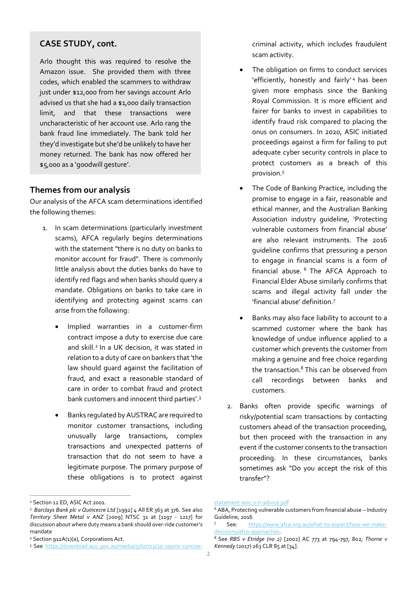#### **CASE STUDY, cont.**

Arlo thought this was required to resolve the Amazon issue. She provided them with three codes, which enabled the scammers to withdraw just under \$12,000 from her savings account Arlo advised us that she had a \$1,000 daily transaction limit, and that these transactions were uncharacteristic of her account use. Arlo rang the bank fraud line immediately. The bank told her they'd investigate but she'd be unlikely to have her money returned. The bank has now offered her \$5,000 as a 'goodwill gesture'.

#### **Themes from our analysis**

Our analysis of the AFCA scam determinations identified the following themes:

- 1. In scam determinations (particularly investment scams), AFCA regularly begins determinations with the statement "there is no duty on banks to monitor account for fraud". There is commonly little analysis about the duties banks do have to identify red flags and when banks should query a mandate. Obligations on banks to take care in identifying and protecting against scams can arise from the following:
	- Implied warranties in a customer-firm contract impose a duty to exercise due care and skill.<sup>2</sup> In a UK decision, it was stated in relation to a duty of care on bankers that 'the law should guard against the facilitation of fraud, and exact a reasonable standard of care in order to combat fraud and protect bank customers and innocent third parties'.<sup>3</sup>
	- Banks regulated by AUSTRAC are required to monitor customer transactions, including unusually large transactions, complex transactions and unexpected patterns of transaction that do not seem to have a legitimate purpose. The primary purpose of these obligations is to protect against

criminal activity, which includes fraudulent scam activity.

- The obligation on firms to conduct services 'efficiently, honestly and fairly' <sup>4</sup> has been given more emphasis since the Banking Royal Commission. It is more efficient and fairer for banks to invest in capabilities to identify fraud risk compared to placing the onus on consumers. In 2020, ASIC initiated proceedings against a firm for failing to put adequate cyber security controls in place to protect customers as a breach of this provision. 5
- The Code of Banking Practice, including the promise to engage in a fair, reasonable and ethical manner, and the Australian Banking Association industry guideline, 'Protecting vulnerable customers from financial abuse' are also relevant instruments. The 2016 guideline confirms that pressuring a person to engage in financial scams is a form of financial abuse. <sup>6</sup> The AFCA Approach to Financial Elder Abuse similarly confirms that scams and illegal activity fall under the 'financial abuse' definition.<sup>7</sup>
- Banks may also face liability to account to a scammed customer where the bank has knowledge of undue influence applied to a customer which prevents the customer from making a genuine and free choice regarding the transaction. <sup>8</sup> This can be observed from call recordings between banks and customers.
- 2. Banks often provide specific warnings of risky/potential scam transactions by contacting customers ahead of the transaction proceeding, but then proceed with the transaction in any event if the customer consents to the transaction proceeding. In these circumstances, banks sometimes ask "Do you accept the risk of this transfer"?

<sup>2</sup> Section 12 ED, ASIC Act 2001.

<sup>&</sup>lt;sup>3</sup> *Barclays Bank plc v Quincecre Ltd* [1992] 4 All ER 363 at 376. See also *Territory Sheet Metal v ANZ* [2009] NTSC 31 at [1197 - 1217] for discussion about where duty means a bank should over-ride customer's mandate

<sup>4</sup> Section 912A(1)(a), Corporations Act.

<sup>5</sup> See [https://download.asic.gov.au/media/5760712/20-191mr-concise-](https://download.asic.gov.au/media/5760712/20-191mr-concise-statement-asic-v-ri-advice.pdf)

[statement-asic-v-ri-advice.pdf](https://download.asic.gov.au/media/5760712/20-191mr-concise-statement-asic-v-ri-advice.pdf)

<sup>6</sup> ABA, Protecting vulnerable customers from financial abuse – Industry Guideline, 2016

<sup>7</sup> See: [https://www.afca.org.au/what-to-expect/how-we-make](https://www.afca.org.au/what-to-expect/how-we-make-decisions/afca-approaches)[decisions/afca-approaches.](https://www.afca.org.au/what-to-expect/how-we-make-decisions/afca-approaches)

<sup>8</sup> See *RBS v Etridge (no 2)* [2002] AC 773 at 794-797, 802; *Thorne v Kennedy* (2017) 263 CLR 85 at [34].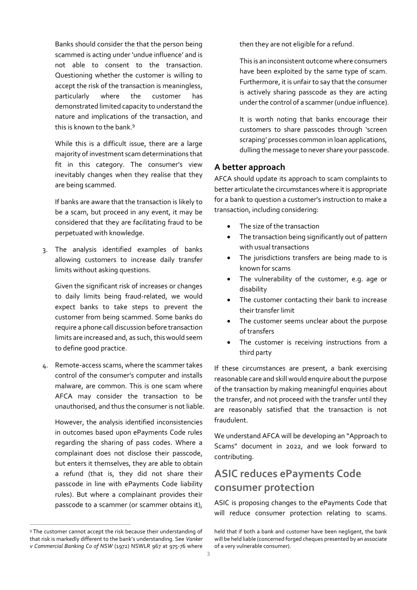Banks should consider the that the person being scammed is acting under 'undue influence' and is not able to consent to the transaction. Questioning whether the customer is willing to accept the risk of the transaction is meaningless, particularly where the customer has demonstrated limited capacity to understand the nature and implications of the transaction, and this is known to the bank.<sup>9</sup>

While this is a difficult issue, there are a large majority of investment scam determinations that fit in this category. The consumer's view inevitably changes when they realise that they are being scammed.

If banks are aware that the transaction is likely to be a scam, but proceed in any event, it may be considered that they are facilitating fraud to be perpetuated with knowledge.

3. The analysis identified examples of banks allowing customers to increase daily transfer limits without asking questions.

Given the significant risk of increases or changes to daily limits being fraud-related, we would expect banks to take steps to prevent the customer from being scammed. Some banks do require a phone call discussion before transaction limits are increased and, as such, this would seem to define good practice.

4. Remote-access scams, where the scammer takes control of the consumer's computer and installs malware, are common. This is one scam where AFCA may consider the transaction to be unauthorised, and thus the consumer is not liable.

However, the analysis identified inconsistencies in outcomes based upon ePayments Code rules regarding the sharing of pass codes. Where a complainant does not disclose their passcode, but enters it themselves, they are able to obtain a refund (that is, they did not share their passcode in line with ePayments Code liability rules). But where a complainant provides their passcode to a scammer (or scammer obtains it), then they are not eligible for a refund.

This is an inconsistent outcome where consumers have been exploited by the same type of scam. Furthermore, it is unfair to say that the consumer is actively sharing passcode as they are acting under the control of a scammer (undue influence).

It is worth noting that banks encourage their customers to share passcodes through 'screen scraping' processes common in loan applications, dulling the message to never share your passcode.

#### **A better approach**

AFCA should update its approach to scam complaints to better articulate the circumstances where it is appropriate for a bank to question a customer's instruction to make a transaction, including considering:

- The size of the transaction
- The transaction being significantly out of pattern with usual transactions
- The jurisdictions transfers are being made to is known for scams
- The vulnerability of the customer, e.g. age or disability
- The customer contacting their bank to increase their transfer limit
- The customer seems unclear about the purpose of transfers
- The customer is receiving instructions from a third party

If these circumstances are present, a bank exercising reasonable care and skill would enquire about the purpose of the transaction by making meaningful enquiries about the transfer, and not proceed with the transfer until they are reasonably satisfied that the transaction is not fraudulent.

We understand AFCA will be developing an "Approach to Scams" document in 2022, and we look forward to contributing.

# **ASIC reduces ePayments Code consumer protection**

ASIC is proposing changes to the ePayments Code that will reduce consumer protection relating to scams.

<sup>9</sup> The customer cannot accept the risk because their understanding of that risk is markedly different to the bank's understanding. See *Vanker v Commercial Banking Co of NSW* (1972) NSWLR 967 at 975-76 where

held that if both a bank and customer have been negligent, the bank will be held liable (concerned forged cheques presented by an associate of a very vulnerable consumer).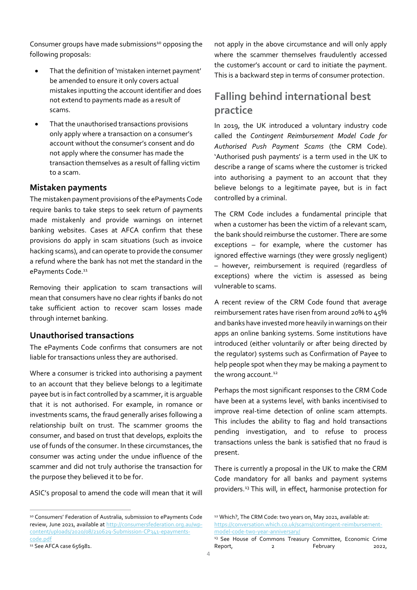Consumer groups have made submissions<sup>10</sup> opposing the following proposals:

- That the definition of 'mistaken internet payment' be amended to ensure it only covers actual mistakes inputting the account identifier and does not extend to payments made as a result of scams.
- That the unauthorised transactions provisions only apply where a transaction on a consumer's account without the consumer's consent and do not apply where the consumer has made the transaction themselves as a result of falling victim to a scam.

#### **Mistaken payments**

The mistaken payment provisions of the ePayments Code require banks to take steps to seek return of payments made mistakenly and provide warnings on internet banking websites. Cases at AFCA confirm that these provisions do apply in scam situations (such as invoice hacking scams), and can operate to provide the consumer a refund where the bank has not met the standard in the ePayments Code.<sup>11</sup>

Removing their application to scam transactions will mean that consumers have no clear rights if banks do not take sufficient action to recover scam losses made through internet banking.

#### **Unauthorised transactions**

The ePayments Code confirms that consumers are not liable for transactions unless they are authorised.

Where a consumer is tricked into authorising a payment to an account that they believe belongs to a legitimate payee but is in fact controlled by a scammer, it is arguable that it is not authorised. For example, in romance or investments scams, the fraud generally arises following a relationship built on trust. The scammer grooms the consumer, and based on trust that develops, exploits the use of funds of the consumer. In these circumstances, the consumer was acting under the undue influence of the scammer and did not truly authorise the transaction for the purpose they believed it to be for.

ASIC's proposal to amend the code will mean that it will

not apply in the above circumstance and will only apply where the scammer themselves fraudulently accessed the customer's account or card to initiate the payment. This is a backward step in terms of consumer protection.

### **Falling behind international best practice**

In 2019, the UK introduced a voluntary industry code called the *Contingent Reimbursement Model Code for Authorised Push Payment Scams* (the CRM Code). 'Authorised push payments' is a term used in the UK to describe a range of scams where the customer is tricked into authorising a payment to an account that they believe belongs to a legitimate payee, but is in fact controlled by a criminal.

The CRM Code includes a fundamental principle that when a customer has been the victim of a relevant scam, the bank should reimburse the customer. There are some exceptions – for example, where the customer has ignored effective warnings (they were grossly negligent) – however, reimbursement is required (regardless of exceptions) where the victim is assessed as being vulnerable to scams.

A recent review of the CRM Code found that average reimbursement rates have risen from around 20% to 45% and banks have invested more heavily in warnings on their apps an online banking systems. Some institutions have introduced (either voluntarily or after being directed by the regulator) systems such as Confirmation of Payee to help people spot when they may be making a payment to the wrong account.<sup>12</sup>

Perhaps the most significant responses to the CRM Code have been at a systems level, with banks incentivised to improve real-time detection of online scam attempts. This includes the ability to flag and hold transactions pending investigation, and to refuse to process transactions unless the bank is satisfied that no fraud is present.

There is currently a proposal in the UK to make the CRM Code mandatory for all banks and payment systems providers.<sup>13</sup> This will, in effect, harmonise protection for

<sup>10</sup> Consumers' Federation of Australia, submission to ePayments Code review, June 2021, available at [http://consumersfederation.org.au/wp](http://consumersfederation.org.au/wp-content/uploads/2020/08/210629-Submission-CP341-epayments-code.pdf)[content/uploads/2020/08/210629-Submission-CP341-epayments](http://consumersfederation.org.au/wp-content/uploads/2020/08/210629-Submission-CP341-epayments-code.pdf)[code.pdf](http://consumersfederation.org.au/wp-content/uploads/2020/08/210629-Submission-CP341-epayments-code.pdf)

<sup>11</sup> See AFCA case 656981.

<sup>12</sup> Which?, The CRM Code: two years on, May 2021, available at: [https://conversation.which.co.uk/scams/contingent-reimbursement](https://conversation.which.co.uk/scams/contingent-reimbursement-model-code-two-year-anniversary/)[model-code-two-year-anniversary/](https://conversation.which.co.uk/scams/contingent-reimbursement-model-code-two-year-anniversary/)

<sup>&</sup>lt;sup>13</sup> See House of Commons Treasury Committee, Economic Crime Report, 2 Report 2022,